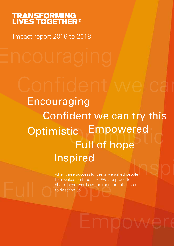# **TRANSFORMING<br>LIVES TOGETHER<sup>®</sup>**

Impact report 2016 to 2018

Confident we can

tic Empowered<br>Full of hope  $\bigcup_{\text{pple}}$ **Optimistic** Encouraging Confident we can try this Inspired Full of hope Empowered

Function recession. The distribution of the second state in the control of the describe us. After three successful years we asked people for revaluation feedback. We are proud to share these words as the most popular used to describe us.

Empowere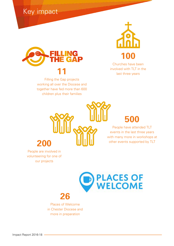Key impact



Filling the Gap projects working all over the Diocese and together have fed more than 600 children plus their families



Churches have been involved with TLT in the last three years

## **500**

People have attended TLT events in the last three years with many more in workshops at other events supported by TLT



People are involved in volunteering for one of our projects



# **26**

Places of Welcome in Chester Diocese and more in preparation

Impact Report 2016-18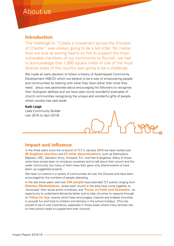### About us

### **Introduction**

The challenge to "Create a movement across the Diocese of Chester" was always going to be a tall order. No matter how we look at setting hearts on fire to support the most vulnerable members of our community to flourish, we had to acknowledge that 1,000 square miles of one of the most diverse areas of the country was going to be a challenge.

We made an early decision to follow a theory of Asset-based Community Development (ABCD) which we believe to be a way of empowering people and communities by starting with what they have rather than what they need. Jesus was passionate about encouraging his followers to recognise their God-given abilities and we have seen some wonderful examples of church communities recognising the unique and wonderful gifts of people whom society has cast aside.

#### **Kath Leigh**

Lead Community Builder (Jan 2016 to April 2019)

### **Impact and influence**

In the three years since the re-launch of TLT in January 2016 we have visited over **90 Anglican churches** and **25 other denominations,** such as Methodists, Baptists, URC, Salvation Army, Vineyard, R.C. and free Evangelical. Many of those visits have simply been to introduce ourselves and to talk about their church and the wider community, but many of them have then gone onto attend events or have taken up suggested projects.

We have run events in a variety of communities all over the Diocese and have been encouraged by the numbers of people attending.

In the last three years well over **500 people** have attended TLT events ranging from **Deanery Marketplaces**, where each church in the area have come together to 'showcase' their social action ministries, and **'Focus on Faith and Dementia'**, an opportunity to understand dementia better and to help churches to respond through to **'Filling the Gap'** events which have encouraged, inspired and enabled churches to provide fun and food to children and families in the school holidays. (This has proved to be of vital importance, especially in those areas where many families rely on free school meals to supplement their income).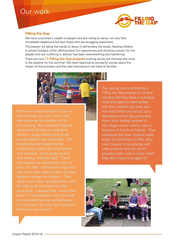### Our work



### **Filling the Gap**

We have uncovered a wealth of people who are willing to serve, not only their immediate neighbours but also those who are struggling elsewhere.

The passion for being the hands of Jesus in befriending the lonely, feeding children in school holidays whilst offering them fun experiences and showing concern for the people who are 'suffering in silence' has been overwhelming and heartening. There are now **11 Filling the Gap projects** working across the Diocese and more in the pipeline for this summer. We have heard some wonderful stories about the impact of this provision and the vital importance it can have to families.



*When we visited a project in one of the churches we met a mum who was dropping her children off for the morning. She explained that the opportunity to have a morning to herself, a single parent with three young children was invaluable. The children looked forward to the experiences and to the lunch which they enjoyed. As an aside, as she was leaving, she also said, "I have also learned so much about how to enjoy my kids. Sometimes I stay and help and I have watched how the play leaders manage the children. They never shout, they use distraction with the little ones and keep the older ones busy. I realised that I would feel better if I shouted less and if the kids are occupied they are well-behaved. I'm not sure if the kids have noticed a difference but I have!"*

*Two young mums attending a Filling the Gap project found that not only did they have a nutritious meal provided for themselves and their children but they also met each other and struck up a friendship which has prevented them from feeling isolated in the village where neither have a network of family or friends. They explained that their children really enjoy the activities on offer, they look forward to socialising with other parents and the church provides them with a lunch which they don't have to budget for.*

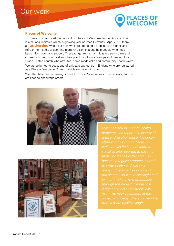### Our work



#### **Places of Welcome**

TLT has also introduced the concept of Places of Welcome to the Diocese. This is a national initiative which is growing year on year. Currently, (April 2019) there are **26 churches** within our area who are operating a drop in, with a drink and refreshment and a welcoming team who can chat and help people who need basic information and support. These range from small initiatives serving tea and coffee with beans on toast and the opportunity to use lap-tops and free wifi to a Grade 1 listed church who offer tea, home-made cake and community health walks.

We are delighted to boast one of only two cathedrals in England who are registered as a Place of Welcome. A trend which we hope will grow.

We often hear heart-warming stories from our Places of welcome network, and we are keen to encourage others.





*Mike had serious mental health problems and reported a history of through the project. He has lost risen. He now volunteers at the project and helps others to view life from a more positive angle.*